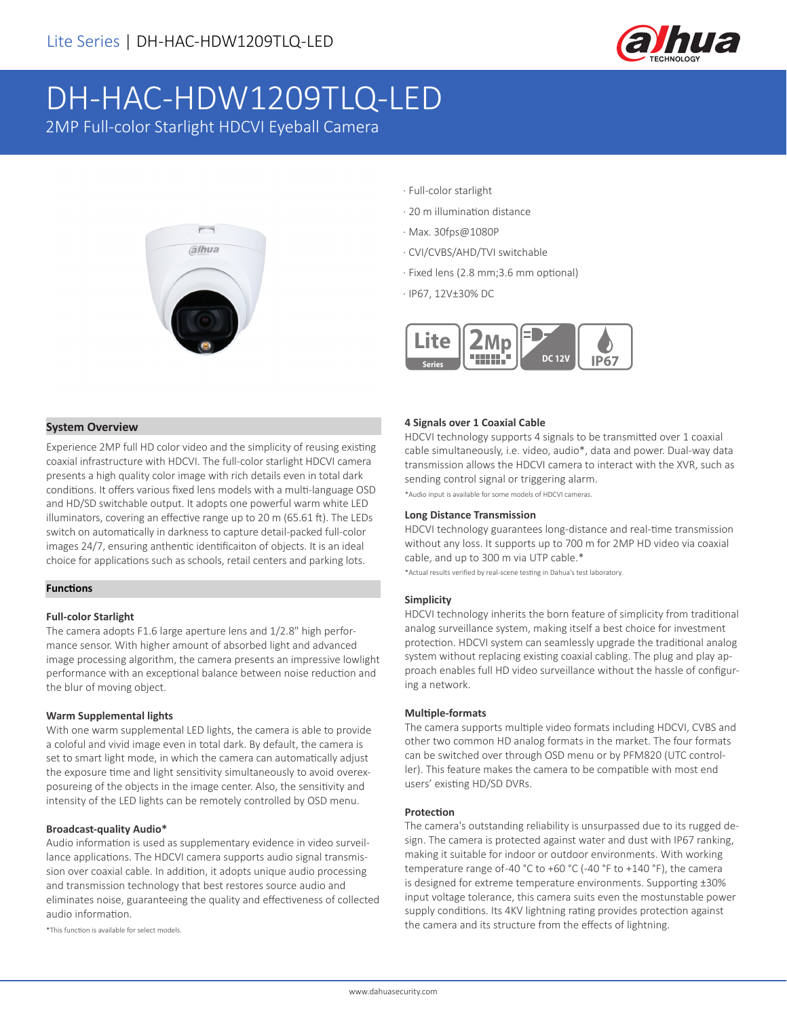

# DH-HAC-HDW1209TLQ-LED

2MP Full-color Starlight HDCVI Eyeball Camera



- · Full-color starlight
- · 20 m illumination distance
- · Max. 30fps@1080P
- · CVI/CVBS/AHD/TVI switchable
- · Fixed lens (2.8 mm;3.6 mm optional)
- · IP67, 12V±30% DC



#### **System Overview**

Experience 2MP full HD color video and the simplicity of reusing existing coaxial infrastructure with HDCVI. The full-color starlight HDCVI camera presents a high quality color image with rich details even in total dark conditions. It offers various fixed lens models with a multi-language OSD and HD/SD switchable output. It adopts one powerful warm white LED illuminators, covering an effective range up to 20 m (65.61 ft). The LEDs switch on automatically in darkness to capture detail-packed full-color images 24/7, ensuring anthentic identificaiton of objects. It is an ideal choice for applications such as schools, retail centers and parking lots.

#### **Functions**

#### **Full-color Starlight**

The camera adopts F1.6 large aperture lens and 1/2.8" high performance sensor. With higher amount of absorbed light and advanced image processing algorithm, the camera presents an impressive lowlight performance with an exceptional balance between noise reduction and the blur of moving object.

#### **Warm Supplemental lights**

With one warm supplemental LED lights, the camera is able to provide a coloful and vivid image even in total dark. By default, the camera is set to smart light mode, in which the camera can automatically adjust the exposure time and light sensitivity simultaneously to avoid overexposureing of the objects in the image center. Also, the sensitivity and intensity of the LED lights can be remotely controlled by OSD menu.

#### **Broadcast-quality Audio\***

Audio information is used as supplementary evidence in video surveillance applications. The HDCVI camera supports audio signal transmission over coaxial cable. In addition, it adopts unique audio processing and transmission technology that best restores source audio and eliminates noise, guaranteeing the quality and effectiveness of collected audio information.

\*This function is available for select models.

#### **4 Signals over 1 Coaxial Cable**

HDCVI technology supports 4 signals to be transmitted over 1 coaxial cable simultaneously, i.e. video, audio\*, data and power. Dual-way data transmission allows the HDCVI camera to interact with the XVR, such as sending control signal or triggering alarm.

\*Audio input is available for some models of HDCVI cameras.

#### **Long Distance Transmission**

HDCVI technology guarantees long-distance and real-time transmission without any loss. It supports up to 700 m for 2MP HD video via coaxial cable, and up to 300 m via UTP cable.\*

\*Actual results verified by real-scene testing in Dahua's test laboratory.

#### **Simplicity**

HDCVI technology inherits the born feature of simplicity from traditional analog surveillance system, making itself a best choice for investment protection. HDCVI system can seamlessly upgrade the traditional analog system without replacing existing coaxial cabling. The plug and play approach enables full HD video surveillance without the hassle of configuring a network.

#### **Multiple-formats**

The camera supports multiple video formats including HDCVI, CVBS and other two common HD analog formats in the market. The four formats can be switched over through OSD menu or by PFM820 (UTC controller). This feature makes the camera to be compatible with most end users' existing HD/SD DVRs.

#### **Protection**

The camera's outstanding reliability is unsurpassed due to its rugged design. The camera is protected against water and dust with IP67 ranking, making it suitable for indoor or outdoor environments. With working temperature range of -40 °C to +60 °C (-40 °F to +140 °F), the camera is designed for extreme temperature environments. Supporting ±30% input voltage tolerance, this camera suits even the mostunstable power supply conditions. Its 4KV lightning rating provides protection against the camera and its structure from the effects of lightning.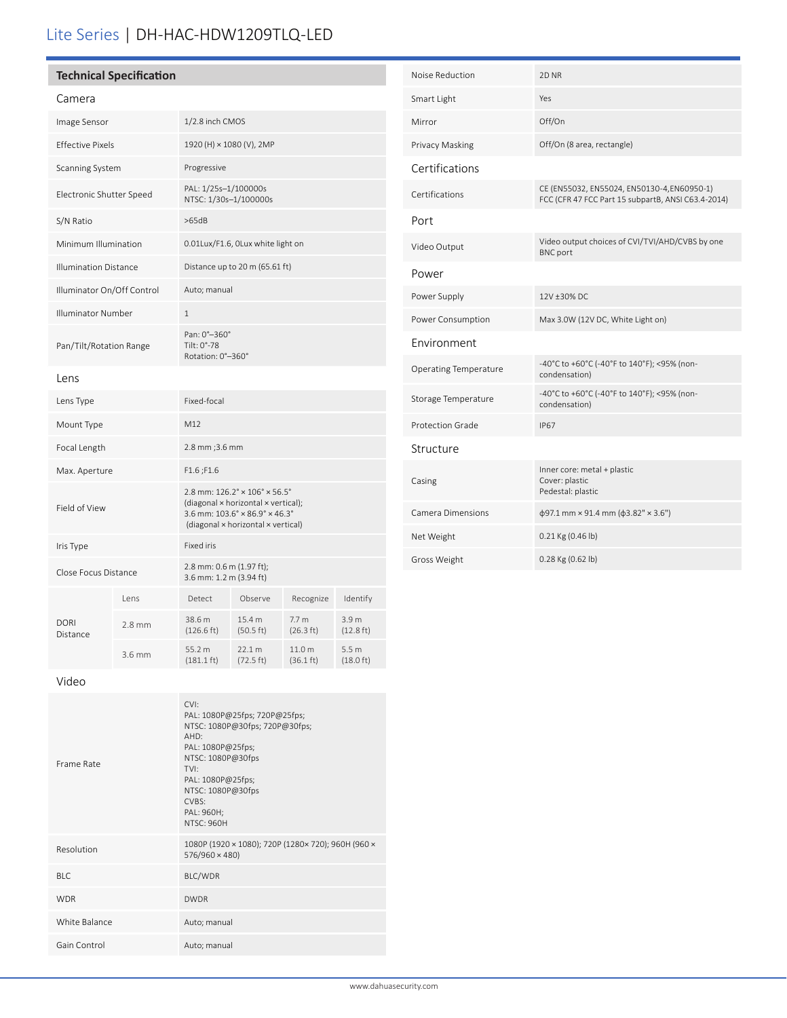## Lite Series | DH-HAC-HDW1209TLQ-LED

| Technical Specification |
|-------------------------|
|                         |

| <u>م ma</u> |  |
|-------------|--|

| Camera                       |          |                                                                                                                                                                                                            |                                |                               |                                         |
|------------------------------|----------|------------------------------------------------------------------------------------------------------------------------------------------------------------------------------------------------------------|--------------------------------|-------------------------------|-----------------------------------------|
| Image Sensor                 |          | 1/2.8 inch CMOS                                                                                                                                                                                            |                                |                               |                                         |
| <b>Effective Pixels</b>      |          | 1920 (H) × 1080 (V), 2MP                                                                                                                                                                                   |                                |                               |                                         |
| Scanning System              |          | Progressive                                                                                                                                                                                                |                                |                               |                                         |
| Electronic Shutter Speed     |          | PAL: 1/25s-1/100000s<br>NTSC: 1/30s-1/100000s                                                                                                                                                              |                                |                               |                                         |
| S/N Ratio                    |          | >65dB                                                                                                                                                                                                      |                                |                               |                                         |
| Minimum Illumination         |          | 0.01Lux/F1.6, OLux white light on                                                                                                                                                                          |                                |                               |                                         |
| <b>Illumination Distance</b> |          |                                                                                                                                                                                                            | Distance up to 20 m (65.61 ft) |                               |                                         |
| Illuminator On/Off Control   |          | Auto; manual                                                                                                                                                                                               |                                |                               |                                         |
| Illuminator Number           |          | $\mathbf{1}$                                                                                                                                                                                               |                                |                               |                                         |
| Pan/Tilt/Rotation Range      |          | Pan: 0°-360°<br>Tilt: 0°-78<br>Rotation: 0°-360°                                                                                                                                                           |                                |                               |                                         |
| Lens                         |          |                                                                                                                                                                                                            |                                |                               |                                         |
| Lens Type                    |          | Fixed-focal                                                                                                                                                                                                |                                |                               |                                         |
| Mount Type                   |          | M12                                                                                                                                                                                                        |                                |                               |                                         |
| Focal Length                 |          | 2.8 mm ; 3.6 mm                                                                                                                                                                                            |                                |                               |                                         |
| Max. Aperture                |          | F1.6;F1.6                                                                                                                                                                                                  |                                |                               |                                         |
| Field of View                |          | $2.8$ mm: $126.2^{\circ} \times 106^{\circ} \times 56.5^{\circ}$<br>(diagonal x horizontal x vertical);<br>3.6 mm: $103.6^\circ \times 86.9^\circ \times 46.3^\circ$<br>(diagonal × horizontal × vertical) |                                |                               |                                         |
| Iris Type                    |          | <b>Fixed iris</b>                                                                                                                                                                                          |                                |                               |                                         |
| Close Focus Distance         |          | 2.8 mm: 0.6 m (1.97 ft);<br>3.6 mm: 1.2 m (3.94 ft)                                                                                                                                                        |                                |                               |                                         |
|                              | lens     | Detect                                                                                                                                                                                                     | Observe                        | Recognize                     | Identify                                |
| <b>DORI</b><br>Distance      | $2.8$ mm | 38.6 m<br>$(126.6 \text{ ft})$                                                                                                                                                                             | 15.4 m<br>(50.5 ft)            | 7.7 <sub>m</sub><br>(26.3 ft) | 3.9 <sub>m</sub><br>$(12.8 \text{ ft})$ |
|                              | $3.6$ mm | 55.2 m<br>$(181.1 \text{ ft})$                                                                                                                                                                             | 22.1 m<br>$(72.5 \text{ ft})$  | 11.0 m<br>$(36.1 \text{ ft})$ | 5.5 <sub>m</sub><br>$(18.0 \text{ ft})$ |

| Noise Reduction              | 2D <sub>NR</sub>                                                                                 |
|------------------------------|--------------------------------------------------------------------------------------------------|
| Smart Light                  | Yes                                                                                              |
| Mirror                       | Off/On                                                                                           |
| Privacy Masking              | Off/On (8 area, rectangle)                                                                       |
| Certifications               |                                                                                                  |
| Certifications               | CE (EN55032, EN55024, EN50130-4,EN60950-1)<br>FCC (CFR 47 FCC Part 15 subpartB, ANSI C63.4-2014) |
| Port                         |                                                                                                  |
| Video Output                 | Video output choices of CVI/TVI/AHD/CVBS by one<br><b>BNC</b> port                               |
| Power                        |                                                                                                  |
| Power Supply                 | 12V ±30% DC                                                                                      |
| Power Consumption            | Max 3.0W (12V DC, White Light on)                                                                |
| Environment                  |                                                                                                  |
| <b>Operating Temperature</b> | -40°C to +60°C (-40°F to 140°F); <95% (non-<br>condensation)                                     |
| Storage Temperature          | -40°C to +60°C (-40°F to 140°F); <95% (non-<br>condensation)                                     |
| Protection Grade             | <b>IP67</b>                                                                                      |
| Structure                    |                                                                                                  |
| Casing                       | Inner core: metal + plastic<br>Cover: plastic<br>Pedestal: plastic                               |
| Camera Dimensions            | $\phi$ 97.1 mm × 91.4 mm ( $\phi$ 3.82" × 3.6")                                                  |
| Net Weight                   | $0.21$ Kg (0.46 lb)                                                                              |
| Gross Weight                 | 0.28 Kg (0.62 lb)                                                                                |

Video

| Frame Rate    | $\cap$<br>PAL: 1080P@25fps; 720P@25fps;<br>NTSC: 1080P@30fps; 720P@30fps;<br>AHD:<br>PAL: 1080P@25fps;<br>NTSC: 1080P@30fps<br>TVI:<br>PAL: 1080P@25fps;<br>NTSC: 1080P@30fps<br>CVBS:<br>PAL: 960H;<br><b>NTSC: 960H</b> |
|---------------|---------------------------------------------------------------------------------------------------------------------------------------------------------------------------------------------------------------------------|
| Resolution    | 1080P (1920 × 1080); 720P (1280 × 720); 960H (960 ×<br>576/960 × 480)                                                                                                                                                     |
| BI C          | BLC/WDR                                                                                                                                                                                                                   |
| <b>WDR</b>    | <b>DWDR</b>                                                                                                                                                                                                               |
| White Balance | Auto; manual                                                                                                                                                                                                              |
| Gain Control  | Auto; manual                                                                                                                                                                                                              |